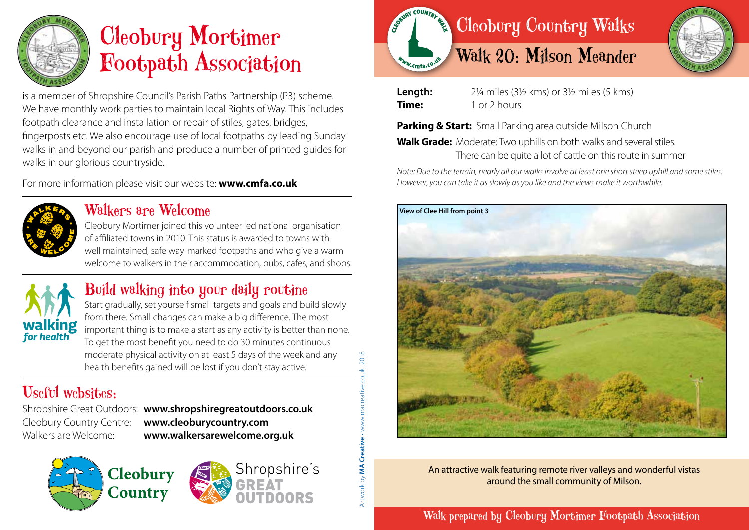

# Cleobury Mortimer Footpath Association

is a member of Shropshire Council's Parish Paths Partnership (P3) scheme. We have monthly work parties to maintain local Rights of Way. This includes footpath clearance and installation or repair of stiles, gates, bridges, fingerposts etc. We also encourage use of local footpaths by leading Sunday walks in and beyond our parish and produce a number of printed guides for walks in our glorious countryside.

For more information please visit our website: **www.cmfa.co.uk**



### Walkers are Welcome

Cleobury Mortimer joined this volunteer led national organisation of affiliated towns in 2010. This status is awarded to towns with well maintained, safe way-marked footpaths and who give a warm welcome to walkers in their accommodation, pubs, cafes, and shops.



# Build walking into your daily routine

Start gradually, set yourself small targets and goals and build slowly from there. Small changes can make a big difference. The most important thing is to make a start as any activity is better than none. To get the most benefit you need to do 30 minutes continuous moderate physical activity on at least 5 days of the week and any health benefits gained will be lost if you don't stay active.

# Useful websites:

Shropshire Great Outdoors: **www.shropshiregreatoutdoors.co.uk**  Cleobury Country Centre: **www.cleoburycountry.com** Walkers are Welcome: **www.walkersarewelcome.org.uk**



Artwork by **MA Creative** • www.macreative.co.uk 2018

Artwork by **MA Creative -** www.macreative.co.uk

2018







**Time:** 1 or 2 hours

**Length:** 2¼ miles (3½ kms) or 3½ miles (5 kms)

**Parking & Start:** Small Parking area outside Milson Church

**Walk Grade:** Moderate: Two uphills on both walks and several stiles. There can be quite a lot of cattle on this route in summer

*Note: Due to the terrain, nearly all our walks involve at least one short steep uphill and some stiles. However, you can take it as slowly as you like and the views make it worthwhile.*



An attractive walk featuring remote river valleys and wonderful vistas around the small community of Milson.

Walk prepared by Cleobury Mortimer Footpath Association